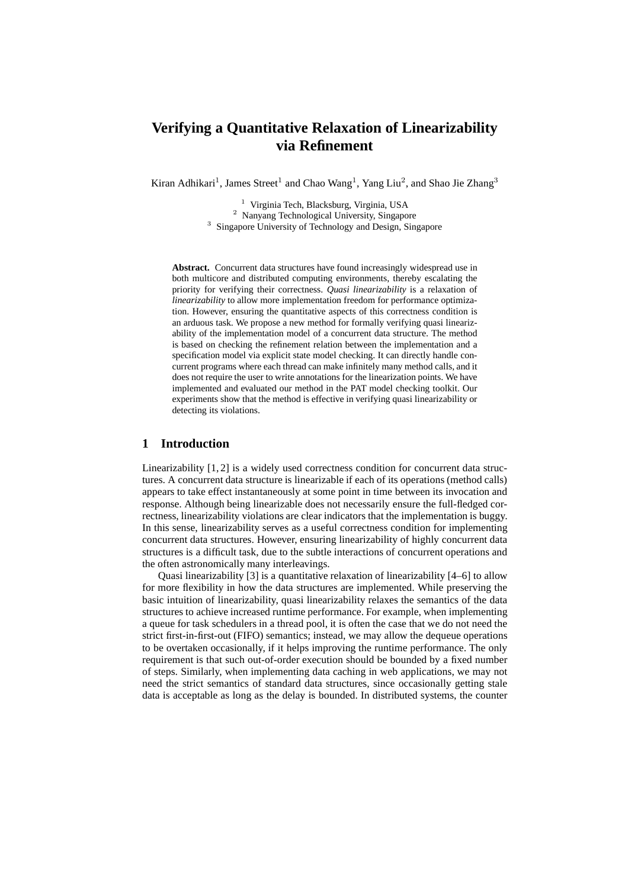# **Verifying a Quantitative Relaxation of Linearizability via Refinement**

Kiran Adhikari<sup>1</sup>, James Street<sup>1</sup> and Chao Wang<sup>1</sup>, Yang Liu<sup>2</sup>, and Shao Jie Zhang<sup>3</sup>

<sup>1</sup> Virginia Tech, Blacksburg, Virginia, USA

<sup>2</sup> Nanyang Technological University, Singapore

<sup>3</sup> Singapore University of Technology and Design, Singapore

**Abstract.** Concurrent data structures have found increasingly widespread use in both multicore and distributed computing environments, thereby escalating the priority for verifying their correctness. *Quasi linearizability* is a relaxation of *linearizability* to allow more implementation freedom for performance optimization. However, ensuring the quantitative aspects of this correctness condition is an arduous task. We propose a new method for formally verifying quasi linearizability of the implementation model of a concurrent data structure. The method is based on checking the refinement relation between the implementation and a specification model via explicit state model checking. It can directly handle concurrent programs where each thread can make infinitely many method calls, and it does not require the user to write annotations for the linearization points. We have implemented and evaluated our method in the PAT model checking toolkit. Our experiments show that the method is effective in verifying quasi linearizability or detecting its violations.

# **1 Introduction**

Linearizability [1, 2] is a widely used correctness condition for concurrent data structures. A concurrent data structure is linearizable if each of its operations (method calls) appears to take effect instantaneously at some point in time between its invocation and response. Although being linearizable does not necessarily ensure the full-fledged correctness, linearizability violations are clear indicators that the implementation is buggy. In this sense, linearizability serves as a useful correctness condition for implementing concurrent data structures. However, ensuring linearizability of highly concurrent data structures is a difficult task, due to the subtle interactions of concurrent operations and the often astronomically many interleavings.

Quasi linearizability [3] is a quantitative relaxation of linearizability [4–6] to allow for more flexibility in how the data structures are implemented. While preserving the basic intuition of linearizability, quasi linearizability relaxes the semantics of the data structures to achieve increased runtime performance. For example, when implementing a queue for task schedulers in a thread pool, it is often the case that we do not need the strict first-in-first-out (FIFO) semantics; instead, we may allow the dequeue operations to be overtaken occasionally, if it helps improving the runtime performance. The only requirement is that such out-of-order execution should be bounded by a fixed number of steps. Similarly, when implementing data caching in web applications, we may not need the strict semantics of standard data structures, since occasionally getting stale data is acceptable as long as the delay is bounded. In distributed systems, the counter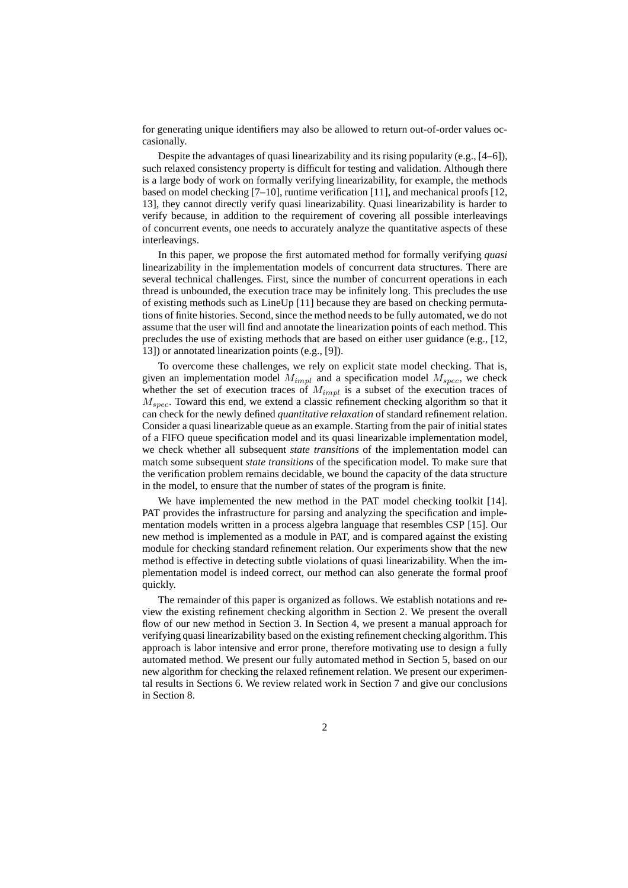for generating unique identifiers may also be allowed to return out-of-order values occasionally.

Despite the advantages of quasi linearizability and its rising popularity (e.g., [4–6]), such relaxed consistency property is difficult for testing and validation. Although there is a large body of work on formally verifying linearizability, for example, the methods based on model checking [7–10], runtime verification [11], and mechanical proofs [12, 13], they cannot directly verify quasi linearizability. Quasi linearizability is harder to verify because, in addition to the requirement of covering all possible interleavings of concurrent events, one needs to accurately analyze the quantitative aspects of these interleavings.

In this paper, we propose the first automated method for formally verifying *quasi* linearizability in the implementation models of concurrent data structures. There are several technical challenges. First, since the number of concurrent operations in each thread is unbounded, the execution trace may be infinitely long. This precludes the use of existing methods such as LineUp [11] because they are based on checking permutations of finite histories. Second, since the method needs to be fully automated, we do not assume that the user will find and annotate the linearization points of each method. This precludes the use of existing methods that are based on either user guidance (e.g., [12, 13]) or annotated linearization points (e.g., [9]).

To overcome these challenges, we rely on explicit state model checking. That is, given an implementation model  $M_{impl}$  and a specification model  $M_{spec}$ , we check whether the set of execution traces of  $M_{impl}$  is a subset of the execution traces of  $M_{spec}$ . Toward this end, we extend a classic refinement checking algorithm so that it can check for the newly defined *quantitative relaxation* of standard refinement relation. Consider a quasi linearizable queue as an example. Starting from the pair of initial states of a FIFO queue specification model and its quasi linearizable implementation model, we check whether all subsequent *state transitions* of the implementation model can match some subsequent *state transitions* of the specification model. To make sure that the verification problem remains decidable, we bound the capacity of the data structure in the model, to ensure that the number of states of the program is finite.

We have implemented the new method in the PAT model checking toolkit [14]. PAT provides the infrastructure for parsing and analyzing the specification and implementation models written in a process algebra language that resembles CSP [15]. Our new method is implemented as a module in PAT, and is compared against the existing module for checking standard refinement relation. Our experiments show that the new method is effective in detecting subtle violations of quasi linearizability. When the implementation model is indeed correct, our method can also generate the formal proof quickly.

The remainder of this paper is organized as follows. We establish notations and review the existing refinement checking algorithm in Section 2. We present the overall flow of our new method in Section 3. In Section 4, we present a manual approach for verifying quasi linearizability based on the existing refinement checking algorithm. This approach is labor intensive and error prone, therefore motivating use to design a fully automated method. We present our fully automated method in Section 5, based on our new algorithm for checking the relaxed refinement relation. We present our experimental results in Sections 6. We review related work in Section 7 and give our conclusions in Section 8.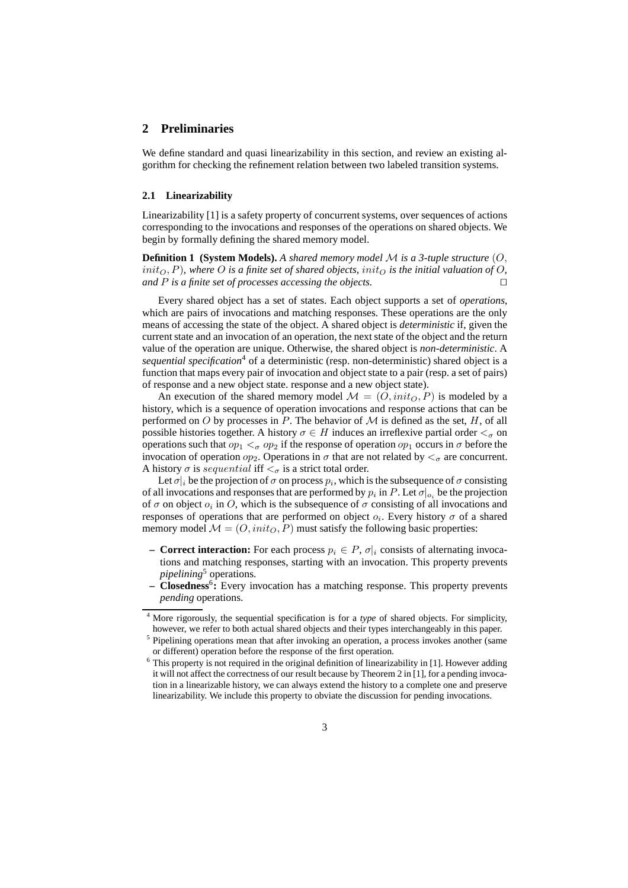# **2 Preliminaries**

We define standard and quasi linearizability in this section, and review an existing algorithm for checking the refinement relation between two labeled transition systems.

#### **2.1 Linearizability**

Linearizability [1] is a safety property of concurrent systems, over sequences of actions corresponding to the invocations and responses of the operations on shared objects. We begin by formally defining the shared memory model.

**Definition 1 (System Models).** *A shared memory model* M *is a 3-tuple structure* (O,  $init<sub>O</sub>, P$ *), where* O is a finite set of shared objects, init<sub>O</sub> is the initial valuation of O, *and* P *is a finite set of processes accessing the objects.* ⊓⊔

Every shared object has a set of states. Each object supports a set of *operations*, which are pairs of invocations and matching responses. These operations are the only means of accessing the state of the object. A shared object is *deterministic* if, given the current state and an invocation of an operation, the next state of the object and the return value of the operation are unique. Otherwise, the shared object is *non-deterministic*. A *sequential specification*<sup>4</sup> of a deterministic (resp. non-deterministic) shared object is a function that maps every pair of invocation and object state to a pair (resp. a set of pairs) of response and a new object state. response and a new object state).

An execution of the shared memory model  $\mathcal{M} = (O, init<sub>O</sub>, P)$  is modeled by a history, which is a sequence of operation invocations and response actions that can be performed on O by processes in P. The behavior of  $M$  is defined as the set,  $H$ , of all possible histories together. A history  $\sigma \in H$  induces an irreflexive partial order  $\langle \sigma \rangle$  on operations such that  $op_1 <_{\sigma} op_2$  if the response of operation  $op_1$  occurs in  $\sigma$  before the invocation of operation  $op_2$ . Operations in  $\sigma$  that are not related by  $\lt_{\sigma}$  are concurrent. A history  $\sigma$  is *sequential* iff  $\lt_{\sigma}$  is a strict total order.

Let  $\sigma|_i$  be the projection of  $\sigma$  on process  $p_i$ , which is the subsequence of  $\sigma$  consisting of all invocations and responses that are performed by  $p_i$  in  $P$ . Let  $\sigma|_{o_i}$  be the projection of  $\sigma$  on object  $o_i$  in O, which is the subsequence of  $\sigma$  consisting of all invocations and responses of operations that are performed on object  $o_i$ . Every history  $\sigma$  of a shared memory model  $\mathcal{M} = (O, init_O, P)$  must satisfy the following basic properties:

- **Correct interaction:** For each process  $p_i \in P$ ,  $\sigma|_i$  consists of alternating invocations and matching responses, starting with an invocation. This property prevents *pipelining*<sup>5</sup> operations.
- **Closedness**<sup>6</sup> **:** Every invocation has a matching response. This property prevents *pending* operations.

<sup>4</sup> More rigorously, the sequential specification is for a *type* of shared objects. For simplicity, however, we refer to both actual shared objects and their types interchangeably in this paper.

<sup>&</sup>lt;sup>5</sup> Pipelining operations mean that after invoking an operation, a process invokes another (same or different) operation before the response of the first operation.

 $6$  This property is not required in the original definition of linearizability in [1]. However adding it will not affect the correctness of our result because by Theorem 2 in [1], for a pending invocation in a linearizable history, we can always extend the history to a complete one and preserve linearizability. We include this property to obviate the discussion for pending invocations.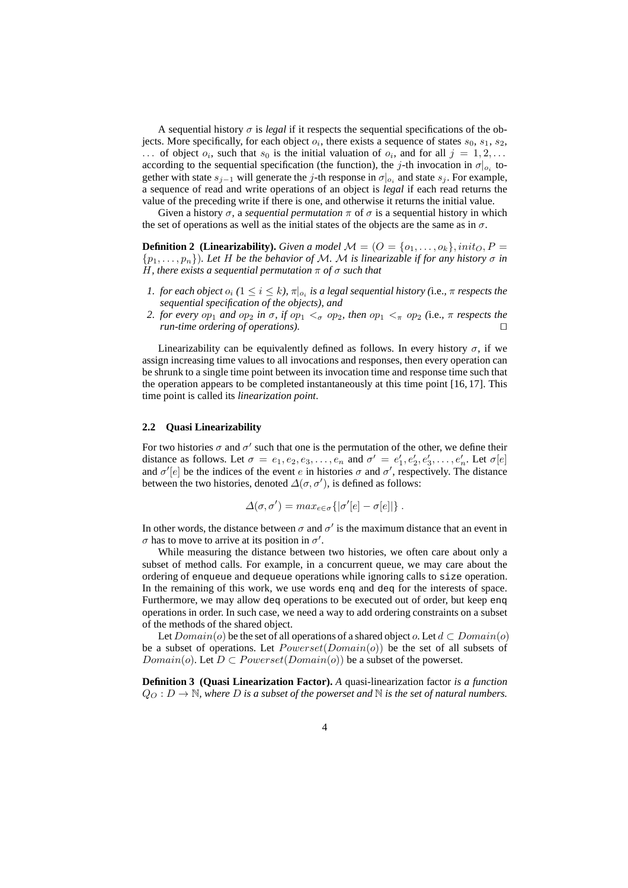A sequential history σ is *legal* if it respects the sequential specifications of the objects. More specifically, for each object  $o_i$ , there exists a sequence of states  $s_0, s_1, s_2$ , ... of object  $o_i$ , such that  $s_0$  is the initial valuation of  $o_i$ , and for all  $j = 1, 2, \ldots$ according to the sequential specification (the function), the j-th invocation in  $\sigma|_{o_i}$  together with state  $s_{j-1}$  will generate the j-th response in  $\sigma|_{o_i}$  and state  $s_j$ . For example, a sequence of read and write operations of an object is *legal* if each read returns the value of the preceding write if there is one, and otherwise it returns the initial value.

Given a history  $\sigma$ , a *sequential permutation*  $\pi$  of  $\sigma$  is a sequential history in which the set of operations as well as the initial states of the objects are the same as in  $\sigma$ .

**Definition 2** (Linearizability). *Given a model*  $M = \{O = \{o_1, \ldots, o_k\}, init_O, P =$  $\{p_1, \ldots, p_n\}$ *). Let H be the behavior of M. M is linearizable if for any history*  $\sigma$  *in* H*, there exists a sequential permutation* π *of* σ *such that*

- *1. for each object*  $o_i$  *(* $1 \leq i \leq k$ ),  $\pi|_{o_i}$  is a legal sequential history (i.e.,  $\pi$  respects the *sequential specification of the objects), and*
- *2. for every op<sub>1</sub> and op<sub>2</sub> in*  $\sigma$ *, if*  $op_1 <_{\sigma} op_2$ *, then*  $op_1 <_{\pi} op_2$  *(i.e.,*  $\pi$  *<i>respects the run-time ordering of operations).* ⊓⊔

Linearizability can be equivalently defined as follows. In every history  $\sigma$ , if we assign increasing time values to all invocations and responses, then every operation can be shrunk to a single time point between its invocation time and response time such that the operation appears to be completed instantaneously at this time point [16, 17]. This time point is called its *linearization point*.

#### **2.2 Quasi Linearizability**

For two histories  $\sigma$  and  $\sigma'$  such that one is the permutation of the other, we define their distance as follows. Let  $\sigma = e_1, e_2, e_3, \ldots, e_n$  and  $\sigma' = e'_1, e'_2, e'_3, \ldots, e'_n$ . Let  $\sigma[e]$ and  $\sigma' [e]$  be the indices of the event e in histories  $\sigma$  and  $\sigma'$ , respectively. The distance between the two histories, denoted  $\Delta(\sigma, \sigma')$ , is defined as follows:

$$
\Delta(\sigma, \sigma') = max_{e \in \sigma} \{ |\sigma'[e] - \sigma[e]| \} .
$$

In other words, the distance between  $\sigma$  and  $\sigma'$  is the maximum distance that an event in  $\sigma$  has to move to arrive at its position in  $\sigma'$ .

While measuring the distance between two histories, we often care about only a subset of method calls. For example, in a concurrent queue, we may care about the ordering of enqueue and dequeue operations while ignoring calls to size operation. In the remaining of this work, we use words enq and deq for the interests of space. Furthermore, we may allow deq operations to be executed out of order, but keep enq operations in order. In such case, we need a way to add ordering constraints on a subset of the methods of the shared object.

Let  $Domain(o)$  be the set of all operations of a shared object o. Let  $d \subset Domain(o)$ be a subset of operations. Let  $Powerset(Domain(o))$  be the set of all subsets of  $Domain(o)$ . Let  $D \subset Powerset(Domain(o))$  be a subset of the powerset.

**Definition 3 (Quasi Linearization Factor).** *A* quasi-linearization factor *is a function*  $Q_O: D \to \mathbb{N}$ , where D is a subset of the powerset and  $\mathbb{N}$  is the set of natural numbers.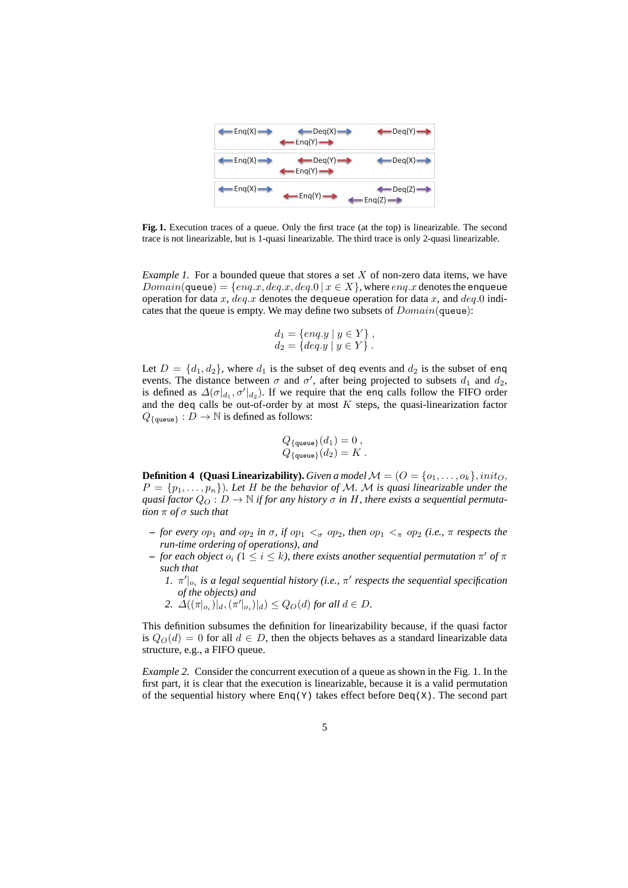

**Fig. 1.** Execution traces of a queue. Only the first trace (at the top) is linearizable. The second trace is not linearizable, but is 1-quasi linearizable. The third trace is only 2-quasi linearizable.

*Example 1.* For a bounded queue that stores a set X of non-zero data items, we have  $Domain(\text{queue}) = \{eq.x, deg.x, deg.0 \mid x \in X\}$ , where  $eng.x$  denotes the enqueue operation for data x,  $deq.x$  denotes the dequeue operation for data x, and  $deq.0$  indicates that the queue is empty. We may define two subsets of Domain(queue):

$$
d_1 = \{enq.y \mid y \in Y\},
$$
  
\n
$$
d_2 = \{deq.y \mid y \in Y\}.
$$

Let  $D = \{d_1, d_2\}$ , where  $d_1$  is the subset of deq events and  $d_2$  is the subset of enq events. The distance between  $\sigma$  and  $\sigma'$ , after being projected to subsets  $d_1$  and  $d_2$ , is defined as  $\Delta(\sigma|_{d_1}, \sigma'|_{d_2})$ . If we require that the enq calls follow the FIFO order and the deq calls be out-of-order by at most  $K$  steps, the quasi-linearization factor  $Q_{\{\text{queue}\}} : D \to \mathbb{N}$  is defined as follows:

$$
\begin{array}{l} Q_{\{\text{queue}\}}(d_1) = 0\,, \\ Q_{\{\text{queue}\}}(d_2) = K\,. \end{array}
$$

**Definition 4 (Quasi Linearizability).** *Given a model*  $M = \{O = \{o_1, \ldots, o_k\}, init_O,$  $P = \{p_1, \ldots, p_n\}$ . Let H be the behavior of M. M is quasi linearizable under the *quasi factor*  $Q_O$  :  $D \to \mathbb{N}$  *if for any history*  $\sigma$  *in H, there exists a sequential permutation* π *of* σ *such that*

- **–** *for every*  $op_1$  *and*  $op_2$  *in*  $σ$ *, if*  $op_1 <sub>σ</sub>$   $op_2$ *, then*  $op_1 <sub>π</sub>$   $op_2$  *(i.e.,*  $π$  *respects the run-time ordering of operations), and*
- $-$  *for each object*  $o_i$  ( $1 \leq i \leq k$ ), there exists another sequential permutation  $\pi'$  of  $\pi$ *such that*
	- *1.*  $\pi' \big|_{o_i}$  is a legal sequential history (i.e.,  $\pi'$  respects the sequential specification *of the objects) and*
	- 2.  $\Delta((\pi|_{o_i})|_d, (\pi'|_{o_i})|_d) \leq Q_O(d)$  *for all*  $d \in D$ *.*

This definition subsumes the definition for linearizability because, if the quasi factor is  $Q_O(d) = 0$  for all  $d \in D$ , then the objects behaves as a standard linearizable data structure, e.g., a FIFO queue.

*Example 2.* Consider the concurrent execution of a queue as shown in the Fig. 1. In the first part, it is clear that the execution is linearizable, because it is a valid permutation of the sequential history where  $\text{Eng}(Y)$  takes effect before  $\text{Deg}(X)$ . The second part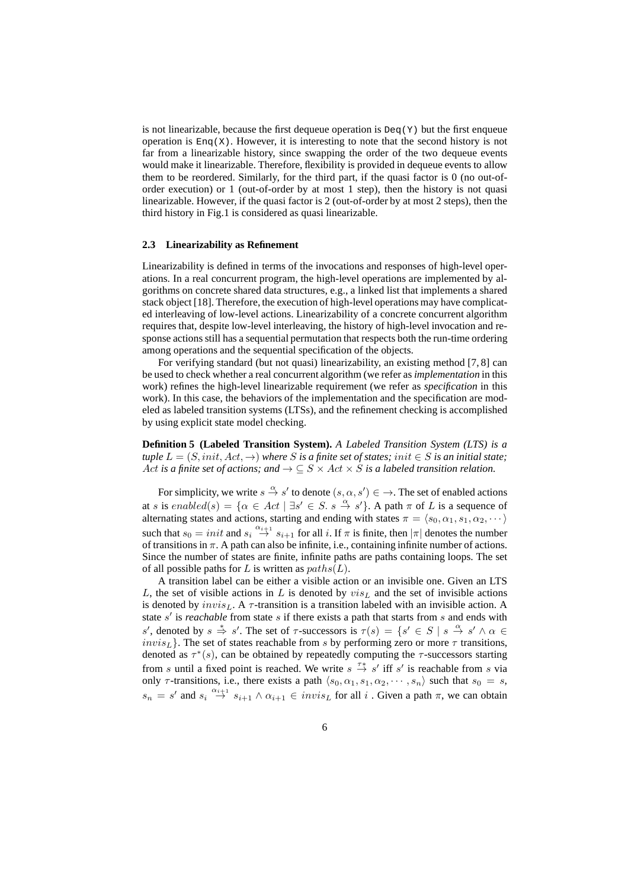is not linearizable, because the first dequeue operation is  $Deg(Y)$  but the first enqueue operation is  $\text{Eng}(X)$ . However, it is interesting to note that the second history is not far from a linearizable history, since swapping the order of the two dequeue events would make it linearizable. Therefore, flexibility is provided in dequeue events to allow them to be reordered. Similarly, for the third part, if the quasi factor is 0 (no out-oforder execution) or 1 (out-of-order by at most 1 step), then the history is not quasi linearizable. However, if the quasi factor is 2 (out-of-order by at most 2 steps), then the third history in Fig.1 is considered as quasi linearizable.

#### **2.3 Linearizability as Refinement**

Linearizability is defined in terms of the invocations and responses of high-level operations. In a real concurrent program, the high-level operations are implemented by algorithms on concrete shared data structures, e.g., a linked list that implements a shared stack object [18]. Therefore, the execution of high-level operations may have complicated interleaving of low-level actions. Linearizability of a concrete concurrent algorithm requires that, despite low-level interleaving, the history of high-level invocation and response actions still has a sequential permutation that respects both the run-time ordering among operations and the sequential specification of the objects.

For verifying standard (but not quasi) linearizability, an existing method [7, 8] can be used to check whether a real concurrent algorithm (we refer as *implementation* in this work) refines the high-level linearizable requirement (we refer as *specification* in this work). In this case, the behaviors of the implementation and the specification are modeled as labeled transition systems (LTSs), and the refinement checking is accomplished by using explicit state model checking.

**Definition 5 (Labeled Transition System).** *A Labeled Transition System (LTS) is a tuple*  $L = (S, init, Act, →)$  *where* S *is a finite set of states; init*  $\in$  S *is an initial state;* Act *is a finite set of actions; and*  $\rightarrow \subseteq S \times Act \times S$  *is a labeled transition relation.* 

For simplicity, we write  $s \stackrel{\alpha}{\to} s'$  to denote  $(s, \alpha, s') \in \to$ . The set of enabled actions at s is enabled(s) = { $\alpha \in Act \mid \exists s' \in S$ .  $s \stackrel{\alpha}{\to} s'$ }. A path  $\pi$  of L is a sequence of alternating states and actions, starting and ending with states  $\pi = \langle s_0, \alpha_1, s_1, \alpha_2, \cdots \rangle$ such that  $s_0 = init$  and  $s_i \stackrel{\alpha_{i+1}}{\rightarrow} s_{i+1}$  for all i. If  $\pi$  is finite, then  $|\pi|$  denotes the number of transitions in  $\pi$ . A path can also be infinite, i.e., containing infinite number of actions. Since the number of states are finite, infinite paths are paths containing loops. The set of all possible paths for L is written as  $paths(L)$ .

A transition label can be either a visible action or an invisible one. Given an LTS L, the set of visible actions in L is denoted by  $vis<sub>L</sub>$  and the set of invisible actions is denoted by  $invis<sub>L</sub>$ . A  $\tau$ -transition is a transition labeled with an invisible action. A state s' is *reachable* from state s if there exists a path that starts from s and ends with s', denoted by  $s \stackrel{*}{\Rightarrow} s'$ . The set of  $\tau$ -successors is  $\tau(s) = \{s' \in S \mid s \stackrel{\alpha}{\rightarrow} s' \land \alpha \in S\}$  $invis_L$ . The set of states reachable from s by performing zero or more  $\tau$  transitions, denoted as  $\tau^*(s)$ , can be obtained by repeatedly computing the  $\tau$ -successors starting from s until a fixed point is reached. We write  $s \stackrel{\tau^*}{\to} s'$  iff s' is reachable from s via only  $\tau$ -transitions, i.e., there exists a path  $\langle s_0, \alpha_1, s_1, \alpha_2, \cdots, s_n \rangle$  such that  $s_0 = s$ ,  $s_n = s'$  and  $s_i \stackrel{\alpha_{i+1}}{\rightarrow} s_{i+1} \wedge \alpha_{i+1} \in invis_L$  for all i. Given a path  $\pi$ , we can obtain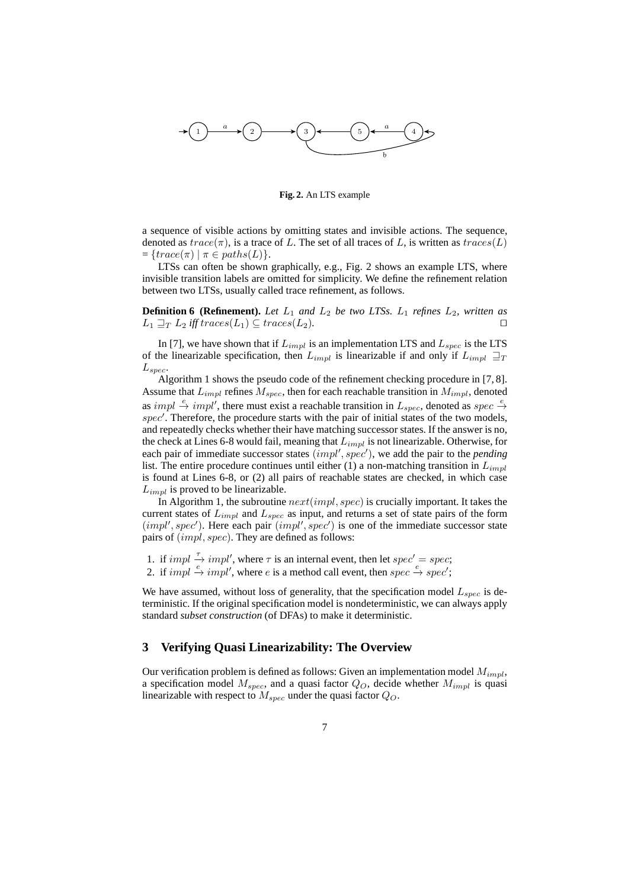

**Fig. 2.** An LTS example

a sequence of visible actions by omitting states and invisible actions. The sequence, denoted as  $trace(\pi)$ , is a trace of L. The set of all traces of L, is written as  $traces(L)$  $=\{trace(\pi) \mid \pi \in paths(L)\}.$ 

LTSs can often be shown graphically, e.g., Fig. 2 shows an example LTS, where invisible transition labels are omitted for simplicity. We define the refinement relation between two LTSs, usually called trace refinement, as follows.

**Definition 6 (Refinement).** Let  $L_1$  and  $L_2$  be two LTSs.  $L_1$  refines  $L_2$ , written as  $L_1 \sqsupseteq_T L_2$  *iff*  $traces(L_1) \subseteq traces(L_2)$ . □

In [7], we have shown that if  $L_{impl}$  is an implementation LTS and  $L_{spec}$  is the LTS of the linearizable specification, then  $L_{impl}$  is linearizable if and only if  $L_{impl} \sqsupseteq_T$ Lspec.

Algorithm 1 shows the pseudo code of the refinement checking procedure in [7, 8]. Assume that  $L_{impl}$  refines  $M_{spec}$ , then for each reachable transition in  $M_{impl}$ , denoted as impl  $\stackrel{e}{\to}$  impl', there must exist a reachable transition in  $L_{spec}$ , denoted as spec  $\stackrel{e}{\to}$ spec'. Therefore, the procedure starts with the pair of initial states of the two models, and repeatedly checks whether their have matching successor states. If the answer is no, the check at Lines 6-8 would fail, meaning that  $L_{impl}$  is not linearizable. Otherwise, for each pair of immediate successor states (impl', spec'), we add the pair to the *pending* list. The entire procedure continues until either (1) a non-matching transition in  $L_{impl}$ is found at Lines 6-8, or (2) all pairs of reachable states are checked, in which case  $L_{impl}$  is proved to be linearizable.

In Algorithm 1, the subroutine  $next(impl, spec)$  is crucially important. It takes the current states of  $L_{impl}$  and  $L_{spec}$  as input, and returns a set of state pairs of the form  $(impl', spec')$ . Here each pair  $(impl', spec')$  is one of the immediate successor state pairs of (impl, spec). They are defined as follows:

1. if  $impl \stackrel{\tau}{\rightarrow} impl'$ , where  $\tau$  is an internal event, then let  $spec' = spec$ ;

2. if  $impl \stackrel{e}{\rightarrow} impl'$ , where e is a method call event, then  $spec \stackrel{e}{\rightarrow} spec'$ ;

We have assumed, without loss of generality, that the specification model  $L_{spec}$  is deterministic. If the original specification model is nondeterministic, we can always apply standard *subset construction* (of DFAs) to make it deterministic.

# **3 Verifying Quasi Linearizability: The Overview**

Our verification problem is defined as follows: Given an implementation model  $M_{impl}$ , a specification model  $M_{spec}$ , and a quasi factor  $Q_O$ , decide whether  $M_{impl}$  is quasi linearizable with respect to  $M_{spec}$  under the quasi factor  $Q_O$ .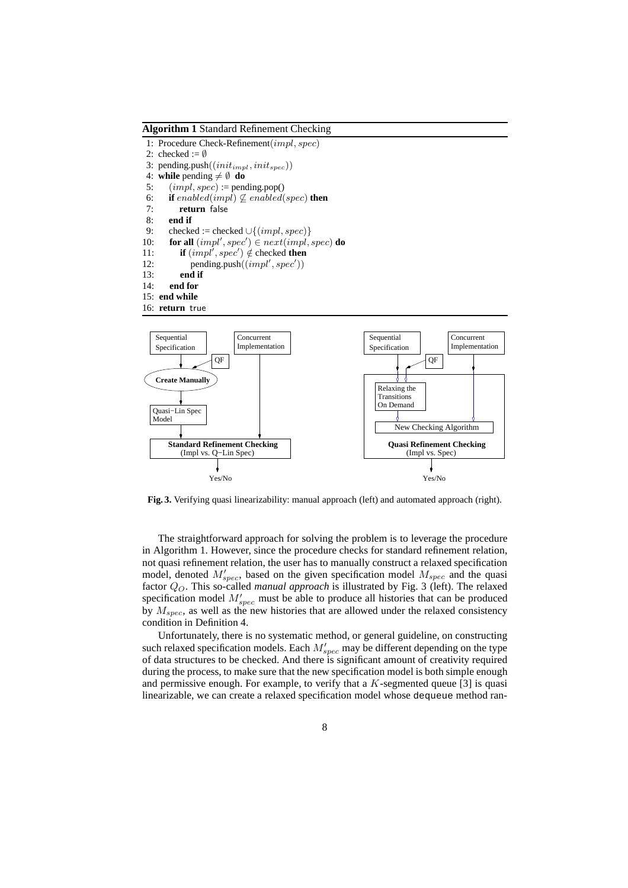**Algorithm 1** Standard Refinement Checking

- 1: Procedure Check-Refinement(impl, spec) 2: checked :=  $\emptyset$
- 
- 3: pending.push $((init_{impl}, init_{spec}))$ 4: **while** pending  $\neq \emptyset$  **do**
- 5:  $(impl, spec) :=$  pending.pop()
- 6: **if** enabled(impl)  $\nsubseteq$  enabled(spec) **then**
- 
- 7: **return** false 8: **end if**
- 9: checked := checked ∪ $\{(impl, spec)\}$
- 10: **for all**  $(impl', spec') \in next(impl, spec)$  **do**
- 11: **if**  $(impl', spec') \notin$  checked **then**
- 12: pending.push $((\overline{impl}', spec'))$
- 13: **end if**
- 14: **end for**
- 15: **end while**
- 16: **return** true



**Fig. 3.** Verifying quasi linearizability: manual approach (left) and automated approach (right).

The straightforward approach for solving the problem is to leverage the procedure in Algorithm 1. However, since the procedure checks for standard refinement relation, not quasi refinement relation, the user has to manually construct a relaxed specification model, denoted  $M'_{spec}$ , based on the given specification model  $M_{spec}$  and the quasi factor QO. This so-called *manual approach* is illustrated by Fig. 3 (left). The relaxed specification model  $M'_{spec}$  must be able to produce all histories that can be produced by  $M_{spec}$ , as well as the new histories that are allowed under the relaxed consistency condition in Definition 4.

Unfortunately, there is no systematic method, or general guideline, on constructing such relaxed specification models. Each  $M'_{spec}$  may be different depending on the type of data structures to be checked. And there is significant amount of creativity required during the process, to make sure that the new specification model is both simple enough and permissive enough. For example, to verify that a  $K$ -segmented queue [3] is quasi linearizable, we can create a relaxed specification model whose dequeue method ran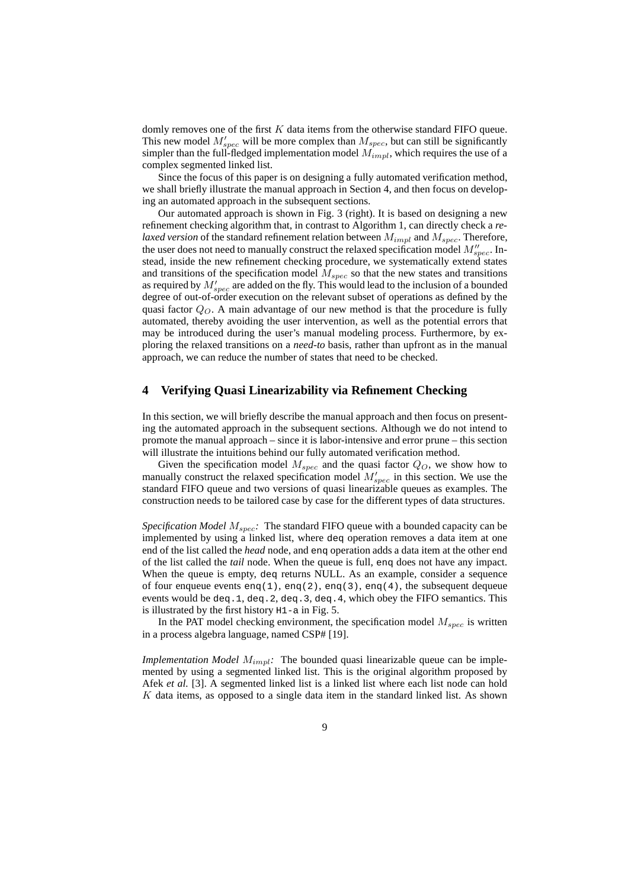domly removes one of the first  $K$  data items from the otherwise standard FIFO queue. This new model  $M'_{spec}$  will be more complex than  $M_{spec}$ , but can still be significantly simpler than the full-fledged implementation model  $M_{impl}$ , which requires the use of a complex segmented linked list.

Since the focus of this paper is on designing a fully automated verification method, we shall briefly illustrate the manual approach in Section 4, and then focus on developing an automated approach in the subsequent sections.

Our automated approach is shown in Fig. 3 (right). It is based on designing a new refinement checking algorithm that, in contrast to Algorithm 1, can directly check a *relaxed version* of the standard refinement relation between  $M_{impl}$  and  $M_{spec}$ . Therefore, the user does not need to manually construct the relaxed specification model  $M''_{spec}$ . Instead, inside the new refinement checking procedure, we systematically extend states and transitions of the specification model  $M_{spec}$  so that the new states and transitions as required by  $M'_{spec}$  are added on the fly. This would lead to the inclusion of a bounded degree of out-of-order execution on the relevant subset of operations as defined by the quasi factor  $Q_O$ . A main advantage of our new method is that the procedure is fully automated, thereby avoiding the user intervention, as well as the potential errors that may be introduced during the user's manual modeling process. Furthermore, by exploring the relaxed transitions on a *need-to* basis, rather than upfront as in the manual approach, we can reduce the number of states that need to be checked.

# **4 Verifying Quasi Linearizability via Refinement Checking**

In this section, we will briefly describe the manual approach and then focus on presenting the automated approach in the subsequent sections. Although we do not intend to promote the manual approach – since it is labor-intensive and error prune – this section will illustrate the intuitions behind our fully automated verification method.

Given the specification model  $M_{spec}$  and the quasi factor  $Q_O$ , we show how to manually construct the relaxed specification model  $M'_{spec}$  in this section. We use the standard FIFO queue and two versions of quasi linearizable queues as examples. The construction needs to be tailored case by case for the different types of data structures.

*Specification Model*  $M_{spec}$ *:* The standard FIFO queue with a bounded capacity can be implemented by using a linked list, where deq operation removes a data item at one end of the list called the *head* node, and enq operation adds a data item at the other end of the list called the *tail* node. When the queue is full, enq does not have any impact. When the queue is empty, deq returns NULL. As an example, consider a sequence of four enqueue events enq(1), enq(2), enq(3), enq(4), the subsequent dequeue events would be deq.1, deq.2, deq.3, deq.4, which obey the FIFO semantics. This is illustrated by the first history H1-a in Fig. 5.

In the PAT model checking environment, the specification model  $M_{spec}$  is written in a process algebra language, named CSP# [19].

*Implementation Model*  $M_{impl}$ : The bounded quasi linearizable queue can be implemented by using a segmented linked list. This is the original algorithm proposed by Afek *et al.* [3]. A segmented linked list is a linked list where each list node can hold  $K$  data items, as opposed to a single data item in the standard linked list. As shown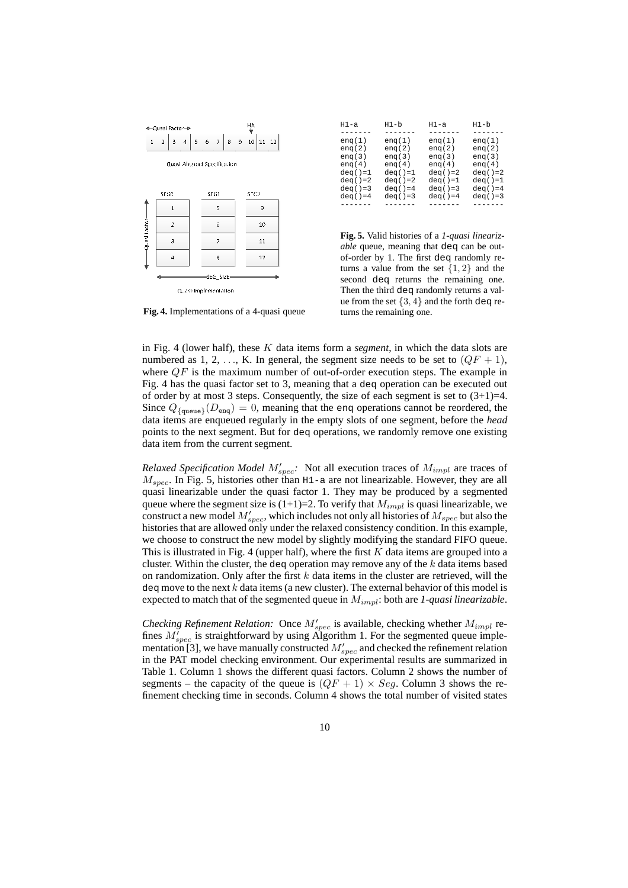

**Fig. 4.** Implementations of a 4-quasi queue

| $H1-a$      | $H1-b$      | $H1-a$      | $H1-b$      |
|-------------|-------------|-------------|-------------|
| ------      | ------      | .           | .           |
| enq(1)      | enq(1)      | enq(1)      | eng(1)      |
| eng(2)      | eng(2)      | eng(2)      | eng(2)      |
| eng(3)      | eng(3)      | eng(3)      | eng(3)      |
| enq(4)      | enq(4)      | eng(4)      | eng(4)      |
| $deg() = 1$ | $deg() = 1$ | $deg() = 2$ | $deg() = 2$ |
| $deg() = 2$ | $deg() = 2$ | $deg() = 1$ | $deg() = 1$ |
| $deg() = 3$ | $deg() = 4$ | $deg() = 3$ | $deq() = 4$ |
| $deg() = 4$ | $deg() = 3$ | $deg() = 4$ | $deg() = 3$ |
| -------     | -------     | -------     | ------      |

**Fig. 5.** Valid histories of a *1-quasi linearizable* queue, meaning that deq can be outof-order by 1. The first deq randomly returns a value from the set  $\{1, 2\}$  and the second deq returns the remaining one. Then the third deq randomly returns a value from the set  $\{3, 4\}$  and the forth deq returns the remaining one.

in Fig. 4 (lower half), these K data items form a *segment*, in which the data slots are numbered as 1, 2, ..., K. In general, the segment size needs to be set to  $(QF + 1)$ , where  $QF$  is the maximum number of out-of-order execution steps. The example in Fig. 4 has the quasi factor set to 3, meaning that a deq operation can be executed out of order by at most 3 steps. Consequently, the size of each segment is set to  $(3+1)=4$ . Since  $Q_{\text{queue}}(D_{\text{enq}}) = 0$ , meaning that the enq operations cannot be reordered, the data items are enqueued regularly in the empty slots of one segment, before the *head* points to the next segment. But for deq operations, we randomly remove one existing data item from the current segment.

*Relaxed Specification Model*  $M'_{spec}$ : Not all execution traces of  $M_{impl}$  are traces of  $M_{spec}$ . In Fig. 5, histories other than  $H1-a$  are not linearizable. However, they are all quasi linearizable under the quasi factor 1. They may be produced by a segmented queue where the segment size is  $(1+1)=2$ . To verify that  $M_{impl}$  is quasi linearizable, we construct a new model  $M_{spec}^{\prime}$ , which includes not only all histories of  $M_{spec}$  but also the histories that are allowed only under the relaxed consistency condition. In this example, we choose to construct the new model by slightly modifying the standard FIFO queue. This is illustrated in Fig. 4 (upper half), where the first  $K$  data items are grouped into a cluster. Within the cluster, the deq operation may remove any of the  $k$  data items based on randomization. Only after the first  $k$  data items in the cluster are retrieved, will the  $\deg$  move to the next k data items (a new cluster). The external behavior of this model is expected to match that of the segmented queue in Mimpl: both are *1-quasi linearizable*.

*Checking Refinement Relation:* Once  $M'_{spec}$  is available, checking whether  $M_{impl}$  refines  $M'_{spec}$  is straightforward by using Algorithm 1. For the segmented queue implementation [3], we have manually constructed  $M'_{spec}$  and checked the refinement relation in the PAT model checking environment. Our experimental results are summarized in Table 1. Column 1 shows the different quasi factors. Column 2 shows the number of segments – the capacity of the queue is  $(QF + 1) \times Seg$ . Column 3 shows the refinement checking time in seconds. Column 4 shows the total number of visited states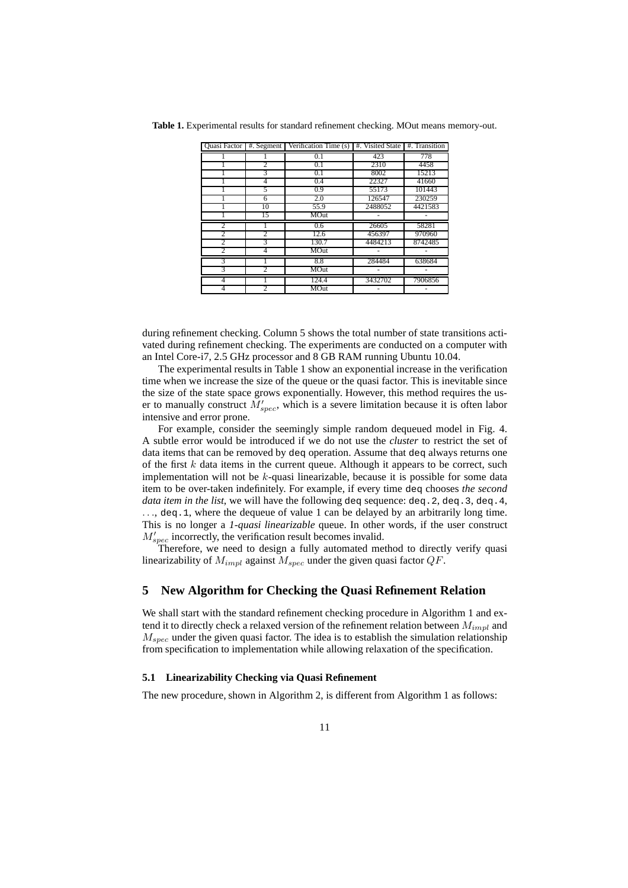| <b>Ouasi Factor</b> | #. Segment     | Verification Time (s) | #. Visited State | #. Transition |
|---------------------|----------------|-----------------------|------------------|---------------|
|                     |                | 0.1                   | 423              | 778           |
|                     | $\overline{c}$ | 0.1                   | 2310             | 4458          |
|                     | 3              | 0.1                   | 8002             | 15213         |
|                     | 4              | 0.4                   | 22327            | 41660         |
|                     | 5              | 0.9                   | 55173            | 101443        |
|                     | 6              | 2.0                   | 126547           | 230259        |
|                     | 10             | 55.9                  | 2488052          | 4421583       |
|                     | 15             | <b>MOut</b>           |                  |               |
| 2                   |                | 0.6                   | 26605            | 58281         |
| 2                   | 2              | 12.6                  | 456397           | 970960        |
| $\overline{c}$      | 3              | 130.7                 | 4484213          | 8742485       |
| $\overline{c}$      | 4              | <b>MOut</b>           |                  |               |
| 3                   |                | 8.8                   | 284484           | 638684        |
| 3                   |                | <b>MOut</b>           |                  |               |
| 4                   |                | 124.4                 | 3432702          | 7906856       |
| 4                   |                | MOut                  |                  |               |

**Table 1.** Experimental results for standard refinement checking. MOut means memory-out.

during refinement checking. Column 5 shows the total number of state transitions activated during refinement checking. The experiments are conducted on a computer with an Intel Core-i7, 2.5 GHz processor and 8 GB RAM running Ubuntu 10.04.

The experimental results in Table 1 show an exponential increase in the verification time when we increase the size of the queue or the quasi factor. This is inevitable since the size of the state space grows exponentially. However, this method requires the user to manually construct  $M'_{spec}$ , which is a severe limitation because it is often labor intensive and error prone.

For example, consider the seemingly simple random dequeued model in Fig. 4. A subtle error would be introduced if we do not use the *cluster* to restrict the set of data items that can be removed by deq operation. Assume that deq always returns one of the first  $k$  data items in the current queue. Although it appears to be correct, such implementation will not be  $k$ -quasi linearizable, because it is possible for some data item to be over-taken indefinitely. For example, if every time deq chooses *the second data item in the list*, we will have the following deq sequence: deq.2, deq.3, deq.4, ..., deq.1, where the dequeue of value 1 can be delayed by an arbitrarily long time. This is no longer a *1-quasi linearizable* queue. In other words, if the user construct  $M'_{spec}$  incorrectly, the verification result becomes invalid.

Therefore, we need to design a fully automated method to directly verify quasi linearizability of  $M_{impl}$  against  $M_{spec}$  under the given quasi factor  $QF$ .

# **5 New Algorithm for Checking the Quasi Refinement Relation**

We shall start with the standard refinement checking procedure in Algorithm 1 and extend it to directly check a relaxed version of the refinement relation between  $M_{impl}$  and  $M_{spec}$  under the given quasi factor. The idea is to establish the simulation relationship from specification to implementation while allowing relaxation of the specification.

#### **5.1 Linearizability Checking via Quasi Refinement**

The new procedure, shown in Algorithm 2, is different from Algorithm 1 as follows: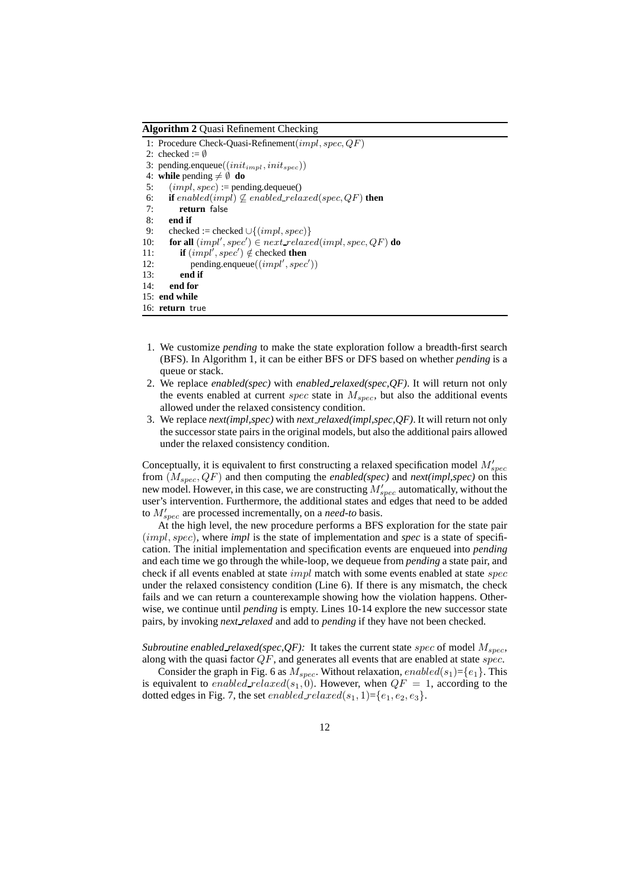**Algorithm 2** Quasi Refinement Checking

|     | 1: Procedure Check-Quasi-Refinement( $impl, spec, QF$ )                     |
|-----|-----------------------------------------------------------------------------|
|     | 2: checked := $\emptyset$                                                   |
|     | 3: pending.enqueue $((init_{impl},init_{spec}))$                            |
|     | 4: while pending $\neq \emptyset$ do                                        |
| 5:  | $(impl, spec) :=$ pending. dequeue()                                        |
| 6:  | <b>if</b> enabled(impl) $\varphi$ enabled relaxed(spec, QF) <b>then</b>     |
| 7:  | return false                                                                |
| 8:  | end if                                                                      |
| 9:  | $checked := checked \cup \{ (impl, spec) \}$                                |
| 10: | <b>for all</b> $(impl', spec') \in next\_relaxed(impl, spec, QF)$ <b>do</b> |
| 11: | <b>if</b> $(impl', spec') \notin$ checked <b>then</b>                       |
| 12: | pending.enqueue $((impl',spec'))$                                           |
| 13: | end if                                                                      |
| 14: | end for                                                                     |
|     | 15: end while                                                               |
|     | 16: return true                                                             |

- 1. We customize *pending* to make the state exploration follow a breadth-first search (BFS). In Algorithm 1, it can be either BFS or DFS based on whether *pending* is a queue or stack.
- 2. We replace *enabled(spec)* with *enabled relaxed(spec,QF)*. It will return not only the events enabled at current spec state in  $M_{spec}$ , but also the additional events allowed under the relaxed consistency condition.
- 3. We replace *next(impl,spec)* with *next relaxed(impl,spec,QF)*. It will return not only the successor state pairs in the original models, but also the additional pairs allowed under the relaxed consistency condition.

Conceptually, it is equivalent to first constructing a relaxed specification model  $M'_{spec}$ from (Mspec, QF) and then computing the *enabled(spec)* and *next(impl,spec)* on this new model. However, in this case, we are constructing  $M'_{spec}$  automatically, without the user's intervention. Furthermore, the additional states and edges that need to be added to M′ spec are processed incrementally, on a *need-to* basis.

At the high level, the new procedure performs a BFS exploration for the state pair (impl, spec), where *impl* is the state of implementation and *spec* is a state of specification. The initial implementation and specification events are enqueued into *pending* and each time we go through the while-loop, we dequeue from *pending* a state pair, and check if all events enabled at state impl match with some events enabled at state spec under the relaxed consistency condition (Line 6). If there is any mismatch, the check fails and we can return a counterexample showing how the violation happens. Otherwise, we continue until *pending* is empty. Lines 10-14 explore the new successor state pairs, by invoking *next relaxed* and add to *pending* if they have not been checked.

*Subroutine enabled\_relaxed(spec,QF):* It takes the current state spec of model  $M_{spec}$ , along with the quasi factor  $QF$ , and generates all events that are enabled at state spec.

Consider the graph in Fig. 6 as  $M_{spec}$ . Without relaxation, enabled(s<sub>1</sub>)={e<sub>1</sub>}. This is equivalent to enabled relaxed( $s_1$ , 0). However, when  $QF = 1$ , according to the dotted edges in Fig. 7, the set *enabled relaxed*( $s_1$ , 1)={ $e_1$ ,  $e_2$ ,  $e_3$ }.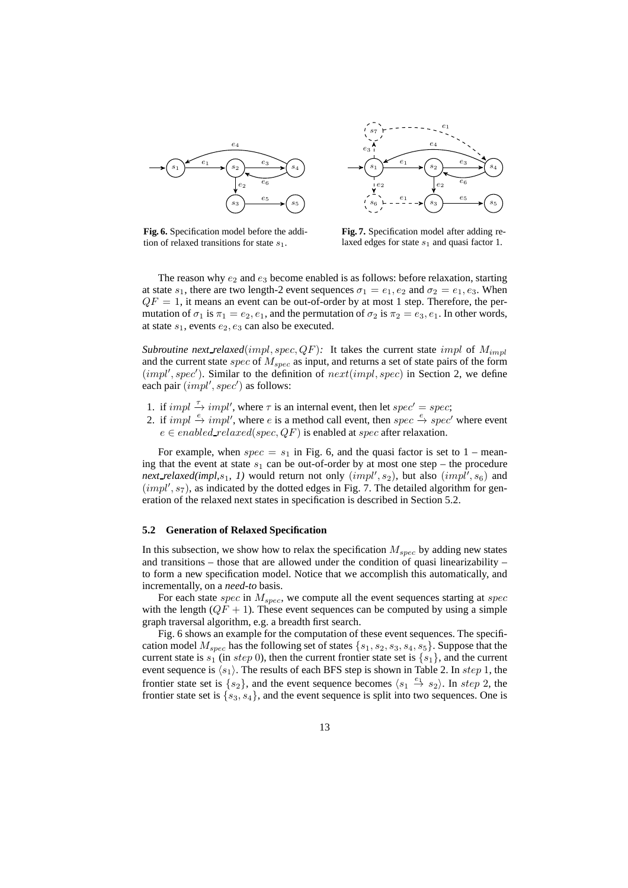

**Fig. 6.** Specification model before the addition of relaxed transitions for state  $s_1$ .



**Fig. 7.** Specification model after adding relaxed edges for state  $s_1$  and quasi factor 1.

The reason why  $e_2$  and  $e_3$  become enabled is as follows: before relaxation, starting at state  $s_1$ , there are two length-2 event sequences  $\sigma_1 = e_1, e_2$  and  $\sigma_2 = e_1, e_3$ . When  $QF = 1$ , it means an event can be out-of-order by at most 1 step. Therefore, the permutation of  $\sigma_1$  is  $\pi_1 = e_2, e_1$ , and the permutation of  $\sigma_2$  is  $\pi_2 = e_3, e_1$ . In other words, at state  $s_1$ , events  $e_2$ ,  $e_3$  can also be executed.

*Subroutine next\_relaxed*(*impl, spec, QF*): It takes the current state *impl* of  $M_{impl}$ and the current state spec of  $M_{spec}$  as input, and returns a set of state pairs of the form  $(impl', spec')$ . Similar to the definition of  $next(impl, spec)$  in Section 2, we define each pair  $(impl', spec')$  as follows:

- 1. if  $impl \stackrel{\tau}{\rightarrow} impl'$ , where  $\tau$  is an internal event, then let  $spec' = spec$ ;
- 2. if  $impl \stackrel{e}{\rightarrow}$  impl', where e is a method call event, then spec  $\stackrel{e}{\rightarrow}$  spec' where event  $e \in enabled\_relaxed(spec, QF)$  is enabled at spec after relaxation.

For example, when  $spec = s_1$  in Fig. 6, and the quasi factor is set to 1 – meaning that the event at state  $s_1$  can be out-of-order by at most one step – the procedure *next\_relaxed(impl,s*<sub>1</sub>, 1) would return not only  $(impl', s<sub>2</sub>)$ , but also  $(impl', s<sub>6</sub>)$  and  $(impl', s<sub>7</sub>)$ , as indicated by the dotted edges in Fig. 7. The detailed algorithm for generation of the relaxed next states in specification is described in Section 5.2.

# **5.2 Generation of Relaxed Specification**

In this subsection, we show how to relax the specification  $M_{spec}$  by adding new states and transitions – those that are allowed under the condition of quasi linearizability – to form a new specification model. Notice that we accomplish this automatically, and incrementally, on a *need-to* basis.

For each state  $spec$  in  $M_{spec}$ , we compute all the event sequences starting at  $spec$ with the length ( $QF + 1$ ). These event sequences can be computed by using a simple graph traversal algorithm, e.g. a breadth first search.

Fig. 6 shows an example for the computation of these event sequences. The specification model  $M_{spec}$  has the following set of states  $\{s_1, s_2, s_3, s_4, s_5\}$ . Suppose that the current state is  $s_1$  (in step 0), then the current frontier state set is  $\{s_1\}$ , and the current event sequence is  $\langle s_1 \rangle$ . The results of each BFS step is shown in Table 2. In step 1, the frontier state set is  $\{s_2\}$ , and the event sequence becomes  $\langle s_1 \stackrel{e_1}{\rightarrow} s_2 \rangle$ . In step 2, the frontier state set is  $\{s_3, s_4\}$ , and the event sequence is split into two sequences. One is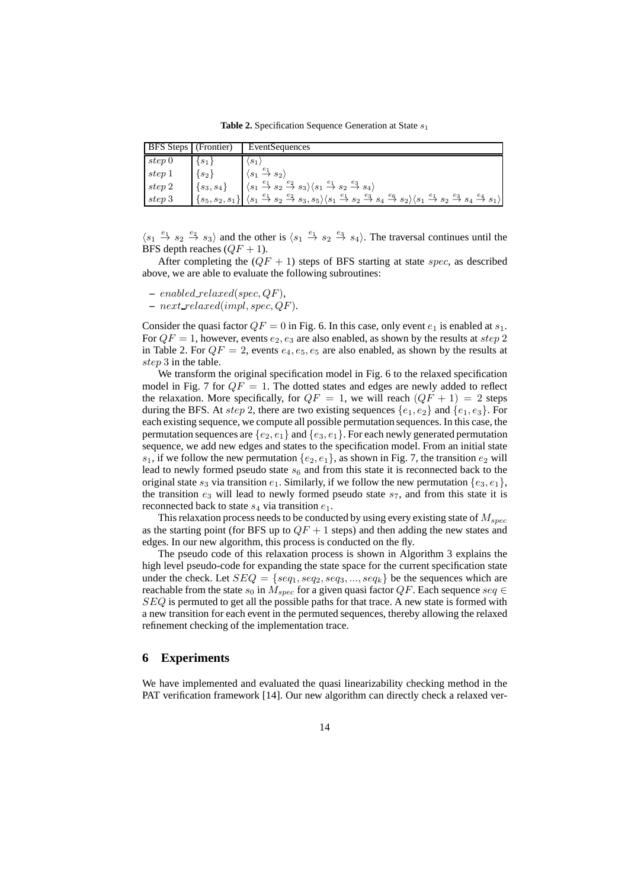Table 2. Specification Sequence Generation at State  $s_1$ 

| <b>BFS</b> Steps (Frontier) |                | EventSequences                                                                                                                                                                                                                                                                                                                                                     |
|-----------------------------|----------------|--------------------------------------------------------------------------------------------------------------------------------------------------------------------------------------------------------------------------------------------------------------------------------------------------------------------------------------------------------------------|
| step 0                      | $\{s_1\}$      | $(S_1)$                                                                                                                                                                                                                                                                                                                                                            |
| step 1                      | $\{s_2\}$      | $\langle s_1 \stackrel{e_1}{\rightarrow} s_2 \rangle$                                                                                                                                                                                                                                                                                                              |
| step 2                      | $\{s_3, s_4\}$ | $\langle s_1 \stackrel{e_1}{\rightarrow} s_2 \stackrel{e_2}{\rightarrow} s_3 \rangle \langle s_1 \stackrel{e_1}{\rightarrow} s_2 \stackrel{e_3}{\rightarrow} s_4 \rangle$                                                                                                                                                                                          |
| step 3                      |                | $\{s_5, s_2, s_1\} \begin{pmatrix} s_1 \stackrel{e_1}{\rightarrow} s_2 \stackrel{e_2}{\rightarrow} s_3, s_5 \end{pmatrix} \langle s_1 \stackrel{e_1}{\rightarrow} s_2 \stackrel{e_3}{\rightarrow} s_4 \stackrel{e_6}{\rightarrow} s_2 \rangle \langle s_1 \stackrel{e_1}{\rightarrow} s_2 \stackrel{e_3}{\rightarrow} s_4 \stackrel{e_4}{\rightarrow} s_1 \rangle$ |

 $\langle s_1 \stackrel{e_1}{\rightarrow} s_2 \stackrel{e_2}{\rightarrow} s_3 \rangle$  and the other is  $\langle s_1 \stackrel{e_1}{\rightarrow} s_2 \stackrel{e_3}{\rightarrow} s_4 \rangle$ . The traversal continues until the BFS depth reaches  $(QF + 1)$ .

After completing the  $(QF + 1)$  steps of BFS starting at state spec, as described above, we are able to evaluate the following subroutines:

- **–** enabled relaxed(spec, QF),
- **–** next relaxed(impl, spec, QF).

Consider the quasi factor  $QF = 0$  in Fig. 6. In this case, only event  $e_1$  is enabled at  $s_1$ . For  $QF = 1$ , however, events  $e_2, e_3$  are also enabled, as shown by the results at step 2 in Table 2. For  $QF = 2$ , events  $e_4, e_5, e_5$  are also enabled, as shown by the results at step 3 in the table.

We transform the original specification model in Fig. 6 to the relaxed specification model in Fig. 7 for  $QF = 1$ . The dotted states and edges are newly added to reflect the relaxation. More specifically, for  $QF = 1$ , we will reach  $(QF + 1) = 2$  steps during the BFS. At step 2, there are two existing sequences  $\{e_1, e_2\}$  and  $\{e_1, e_3\}$ . For each existing sequence, we compute all possible permutation sequences. In this case, the permutation sequences are  $\{e_2, e_1\}$  and  $\{e_3, e_1\}$ . For each newly generated permutation sequence, we add new edges and states to the specification model. From an initial state  $s_1$ , if we follow the new permutation  $\{e_2, e_1\}$ , as shown in Fig. 7, the transition  $e_2$  will lead to newly formed pseudo state  $s_6$  and from this state it is reconnected back to the original state  $s_3$  via transition  $e_1$ . Similarly, if we follow the new permutation  $\{e_3, e_1\}$ , the transition  $e_3$  will lead to newly formed pseudo state  $s_7$ , and from this state it is reconnected back to state  $s_4$  via transition  $e_1$ .

This relaxation process needs to be conducted by using every existing state of  $M_{spec}$ as the starting point (for BFS up to  $QF + 1$  steps) and then adding the new states and edges. In our new algorithm, this process is conducted on the fly.

The pseudo code of this relaxation process is shown in Algorithm 3 explains the high level pseudo-code for expanding the state space for the current specification state under the check. Let  $SEQ = \{seq_1, seq_2, seq_3, ..., seq_k\}$  be the sequences which are reachable from the state  $s_0$  in  $M_{spec}$  for a given quasi factor QF. Each sequence  $seq \in$  $SEQ$  is permuted to get all the possible paths for that trace. A new state is formed with a new transition for each event in the permuted sequences, thereby allowing the relaxed refinement checking of the implementation trace.

# **6 Experiments**

We have implemented and evaluated the quasi linearizability checking method in the PAT verification framework [14]. Our new algorithm can directly check a relaxed ver-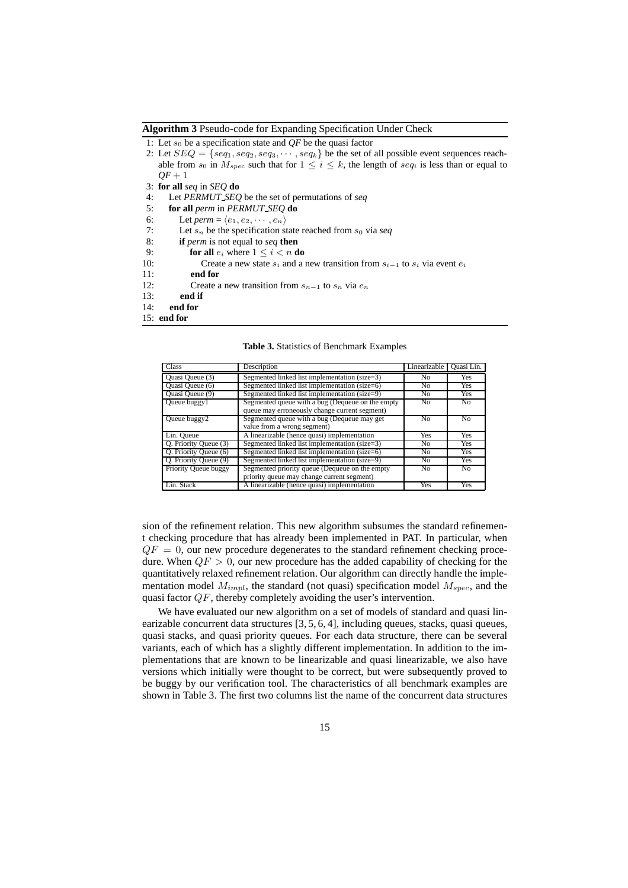**Algorithm 3** Pseudo-code for Expanding Specification Under Check

1: Let  $s_0$  be a specification state and  $QF$  be the quasi factor

- 2: Let  $SEQ = \{seq_1, seq_2, seq_3, \cdots, seq_k\}$  be the set of all possible event sequences reachable from  $s_0$  in  $M_{spec}$  such that for  $1 \leq i \leq k$ , the length of  $seq_i$  is less than or equal to *QF* + 1
- 3: **for all** *seq* in *SEQ* **do**
- 4: Let *PERMUT SEQ* be the set of permutations of *seq*
- 5: **for all** *perm* in *PERMUT SEQ* **do**
- 6: Let  $perm = \langle e_1, e_2, \cdots, e_n \rangle$
- 7: Let  $s_n$  be the specification state reached from  $s_0$  via  $seq$ <br>8: **if** *perm* is not equal to *seq* **then**
- 8: **if** *perm* is not equal to *seq* **then**
- 9: **for all**  $e_i$  where  $1 \leq i < n$  **do**<br>10: Create a new state  $s_i$  and a
	- Create a new state  $s_i$  and a new transition from  $s_{i-1}$  to  $s_i$  via event  $e_i$
- 11: **end for**
- 12: Create a new transition from  $s_{n-1}$  to  $s_n$  via  $e_n$
- 13: **end if**
- 14: **end for**
- 15: **end for**

**Table 3.** Statistics of Benchmark Examples

| Class                 | Description                                                                                       | Linearizable   | Ouasi Lin.     |
|-----------------------|---------------------------------------------------------------------------------------------------|----------------|----------------|
| Quasi Queue (3)       | Segmented linked list implementation (size=3)                                                     | No             | <b>Yes</b>     |
| Quasi Queue (6)       | Segmented linked list implementation (size=6)                                                     | N <sub>0</sub> | Yes            |
| Quasi Queue (9)       | Segmented linked list implementation (size=9)                                                     | No             | Yes            |
| Queue buggy1          | Segmented queue with a bug (Dequeue on the empty<br>queue may erroneously change current segment) | N <sub>0</sub> | N <sub>0</sub> |
| Queue buggy2          | Segmented queue with a bug (Dequeue may get<br>value from a wrong segment)                        | N <sub>0</sub> | N <sub>0</sub> |
| Lin. Queue            | A linearizable (hence quasi) implementation                                                       | Yes            | <b>Yes</b>     |
| O. Priority Queue (3) | Segmented linked list implementation (size=3)                                                     | No             | <b>Yes</b>     |
| Q. Priority Queue (6) | Segmented linked list implementation (size=6)                                                     | N <sub>0</sub> | Yes            |
| O. Priority Queue (9) | Segmented linked list implementation (size=9)                                                     | No             | <b>Yes</b>     |
| Priority Queue buggy  | Segmented priority queue (Dequeue on the empty<br>priority queue may change current segment)      | N <sub>0</sub> | N <sub>0</sub> |
| Lin. Stack            | A linearizable (hence quasi) implementation                                                       | Yes            | Yes            |

sion of the refinement relation. This new algorithm subsumes the standard refinement checking procedure that has already been implemented in PAT. In particular, when  $QF = 0$ , our new procedure degenerates to the standard refinement checking procedure. When  $QF > 0$ , our new procedure has the added capability of checking for the quantitatively relaxed refinement relation. Our algorithm can directly handle the implementation model  $M_{impl}$ , the standard (not quasi) specification model  $M_{spec}$ , and the quasi factor  $QF$ , thereby completely avoiding the user's intervention.

We have evaluated our new algorithm on a set of models of standard and quasi linearizable concurrent data structures [3, 5, 6, 4], including queues, stacks, quasi queues, quasi stacks, and quasi priority queues. For each data structure, there can be several variants, each of which has a slightly different implementation. In addition to the implementations that are known to be linearizable and quasi linearizable, we also have versions which initially were thought to be correct, but were subsequently proved to be buggy by our verification tool. The characteristics of all benchmark examples are shown in Table 3. The first two columns list the name of the concurrent data structures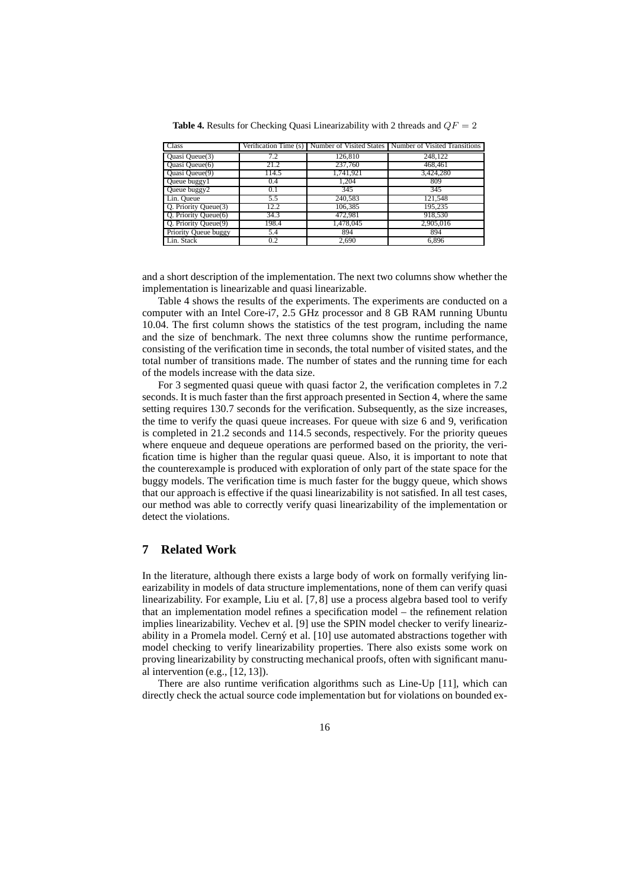| Class                |       |           | Verification Time (s) Number of Visited States Number of Visited Transitions |
|----------------------|-------|-----------|------------------------------------------------------------------------------|
| Quasi Queue(3)       | 7.2   | 126,810   | 248.122                                                                      |
| Quasi Queue(6)       | 21.2  | 237,760   | 468,461                                                                      |
| Quasi Queue(9)       | 114.5 | 1,741,921 | 3,424,280                                                                    |
| Oueue buggy1         | 0.4   | 1.204     | 809                                                                          |
| Oueue buggy2         | 0.1   | 345       | 345                                                                          |
| Lin. Queue           | 5.5   | 240,583   | 121,548                                                                      |
| O. Priority Queue(3) | 12.2  | 106,385   | 195,235                                                                      |
| O. Priority Queue(6) | 34.3  | 472.981   | 918,530                                                                      |
| Q. Priority Queue(9) | 198.4 | 1,478,045 | 2,905,016                                                                    |
| Priority Queue buggy | 5.4   | 894       | 894                                                                          |
| Lin. Stack           | 0.2   | 2.690     | 6.896                                                                        |

**Table 4.** Results for Checking Quasi Linearizability with 2 threads and  $QF = 2$ 

and a short description of the implementation. The next two columns show whether the implementation is linearizable and quasi linearizable.

Table 4 shows the results of the experiments. The experiments are conducted on a computer with an Intel Core-i7, 2.5 GHz processor and 8 GB RAM running Ubuntu 10.04. The first column shows the statistics of the test program, including the name and the size of benchmark. The next three columns show the runtime performance, consisting of the verification time in seconds, the total number of visited states, and the total number of transitions made. The number of states and the running time for each of the models increase with the data size.

For 3 segmented quasi queue with quasi factor 2, the verification completes in 7.2 seconds. It is much faster than the first approach presented in Section 4, where the same setting requires 130.7 seconds for the verification. Subsequently, as the size increases, the time to verify the quasi queue increases. For queue with size 6 and 9, verification is completed in 21.2 seconds and 114.5 seconds, respectively. For the priority queues where enqueue and dequeue operations are performed based on the priority, the verification time is higher than the regular quasi queue. Also, it is important to note that the counterexample is produced with exploration of only part of the state space for the buggy models. The verification time is much faster for the buggy queue, which shows that our approach is effective if the quasi linearizability is not satisfied. In all test cases, our method was able to correctly verify quasi linearizability of the implementation or detect the violations.

# **7 Related Work**

In the literature, although there exists a large body of work on formally verifying linearizability in models of data structure implementations, none of them can verify quasi linearizability. For example, Liu et al. [7, 8] use a process algebra based tool to verify that an implementation model refines a specification model – the refinement relation implies linearizability. Vechev et al. [9] use the SPIN model checker to verify linearizability in a Promela model. Cern $\acute{\text{y}}$  et al. [10] use automated abstractions together with model checking to verify linearizability properties. There also exists some work on proving linearizability by constructing mechanical proofs, often with significant manual intervention (e.g., [12, 13]).

There are also runtime verification algorithms such as Line-Up [11], which can directly check the actual source code implementation but for violations on bounded ex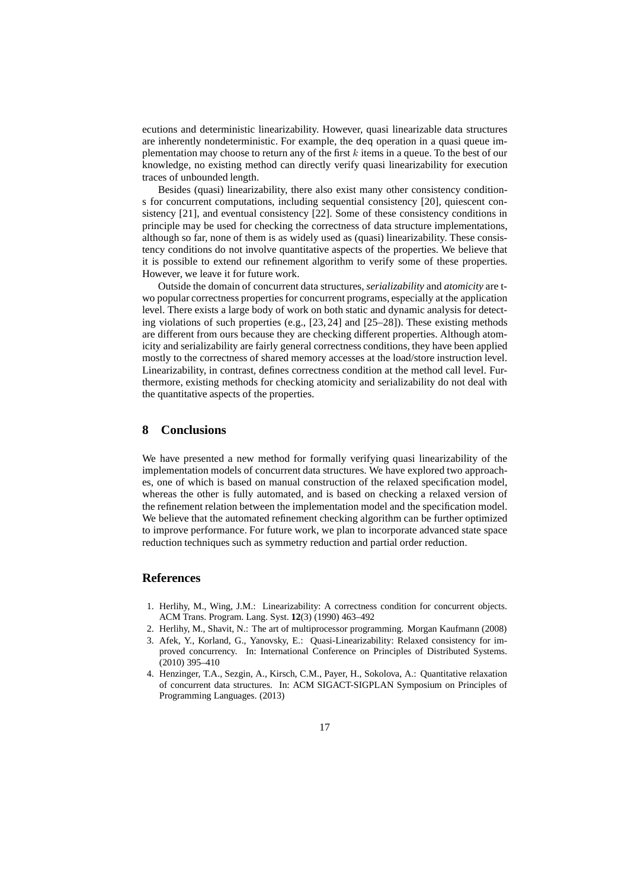ecutions and deterministic linearizability. However, quasi linearizable data structures are inherently nondeterministic. For example, the deq operation in a quasi queue implementation may choose to return any of the first  $k$  items in a queue. To the best of our knowledge, no existing method can directly verify quasi linearizability for execution traces of unbounded length.

Besides (quasi) linearizability, there also exist many other consistency conditions for concurrent computations, including sequential consistency [20], quiescent consistency [21], and eventual consistency [22]. Some of these consistency conditions in principle may be used for checking the correctness of data structure implementations, although so far, none of them is as widely used as (quasi) linearizability. These consistency conditions do not involve quantitative aspects of the properties. We believe that it is possible to extend our refinement algorithm to verify some of these properties. However, we leave it for future work.

Outside the domain of concurrent data structures, *serializability* and *atomicity* are two popular correctness properties for concurrent programs, especially at the application level. There exists a large body of work on both static and dynamic analysis for detecting violations of such properties (e.g., [23, 24] and [25–28]). These existing methods are different from ours because they are checking different properties. Although atomicity and serializability are fairly general correctness conditions, they have been applied mostly to the correctness of shared memory accesses at the load/store instruction level. Linearizability, in contrast, defines correctness condition at the method call level. Furthermore, existing methods for checking atomicity and serializability do not deal with the quantitative aspects of the properties.

# **8 Conclusions**

We have presented a new method for formally verifying quasi linearizability of the implementation models of concurrent data structures. We have explored two approaches, one of which is based on manual construction of the relaxed specification model, whereas the other is fully automated, and is based on checking a relaxed version of the refinement relation between the implementation model and the specification model. We believe that the automated refinement checking algorithm can be further optimized to improve performance. For future work, we plan to incorporate advanced state space reduction techniques such as symmetry reduction and partial order reduction.

# **References**

- 1. Herlihy, M., Wing, J.M.: Linearizability: A correctness condition for concurrent objects. ACM Trans. Program. Lang. Syst. **12**(3) (1990) 463–492
- 2. Herlihy, M., Shavit, N.: The art of multiprocessor programming. Morgan Kaufmann (2008)
- 3. Afek, Y., Korland, G., Yanovsky, E.: Quasi-Linearizability: Relaxed consistency for improved concurrency. In: International Conference on Principles of Distributed Systems. (2010) 395–410
- 4. Henzinger, T.A., Sezgin, A., Kirsch, C.M., Payer, H., Sokolova, A.: Quantitative relaxation of concurrent data structures. In: ACM SIGACT-SIGPLAN Symposium on Principles of Programming Languages. (2013)